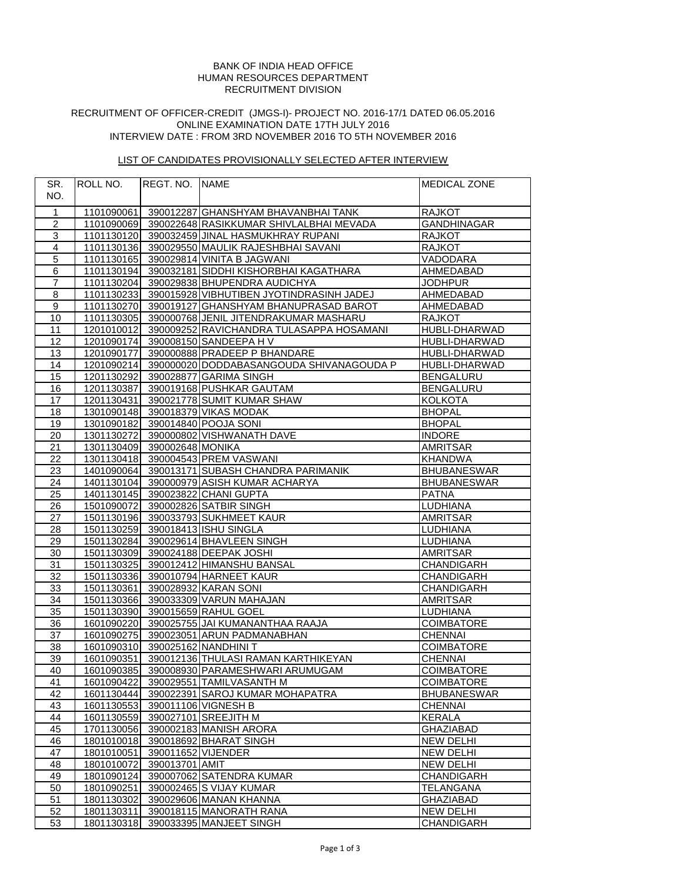## RECRUITMENT DIVISION HUMAN RESOURCES DEPARTMENT BANK OF INDIA HEAD OFFICE

## RECRUITMENT OF OFFICER-CREDIT (JMGS-I)- PROJECT NO. 2016-17/1 DATED 06.05.2016 INTERVIEW DATE : FROM 3RD NOVEMBER 2016 TO 5TH NOVEMBER 2016 ONLINE EXAMINATION DATE 17TH JULY 2016

# LIST OF CANDIDATES PROVISIONALLY SELECTED AFTER INTERVIEW

| SR.              | ROLL NO.                    | <b>REGT. NO. INAME</b>         |                                                     | <b>MEDICAL ZONE</b> |
|------------------|-----------------------------|--------------------------------|-----------------------------------------------------|---------------------|
| NO.              |                             |                                |                                                     |                     |
|                  |                             |                                |                                                     |                     |
| $\mathbf{1}$     |                             |                                | 1101090061 390012287 GHANSHYAM BHAVANBHAI TANK      | <b>RAJKOT</b>       |
| $\boldsymbol{2}$ |                             |                                | 1101090069 390022648 RASIKKUMAR SHIVLALBHAI MEVADA  | <b>GANDHINAGAR</b>  |
| $\overline{3}$   |                             |                                | 1101130120 390032459 JINAL HASMUKHRAY RUPANI        | <b>RAJKOT</b>       |
| $\overline{4}$   |                             |                                | 1101130136 390029550 MAULIK RAJESHBHAI SAVANI       | <b>RAJKOT</b>       |
| $\mathbf 5$      |                             |                                | 1101130165 390029814 VINITA B JAGWANI               | <b>VADODARA</b>     |
| 6                |                             |                                | 1101130194 390032181 SIDDHI KISHORBHAI KAGATHARA    | AHMEDABAD           |
| $\overline{7}$   | 1101130204                  |                                | 390029838 BHUPENDRA AUDICHYA                        | <b>JODHPUR</b>      |
| 8                |                             |                                | 1101130233 390015928 VIBHUTIBEN JYOTINDRASINH JADEJ | AHMEDABAD           |
| 9                |                             |                                | 1101130270 390019127 GHANSHYAM BHANUPRASAD BAROT    | AHMEDABAD           |
| 10               |                             |                                | 1101130305 390000768 JENIL JITENDRAKUMAR MASHARU    | RAJKOT              |
| 11               |                             |                                | 1201010012 390009252 RAVICHANDRA TULASAPPA HOSAMANI | HUBLI-DHARWAD       |
| 12               |                             |                                | 1201090174 390008150 SANDEEPA H V                   | HUBLI-DHARWAD       |
| 13               |                             |                                | 1201090177 390000888 PRADEEP P BHANDARE             | HUBLI-DHARWAD       |
| 14               |                             |                                | 1201090214 390000020 DODDABASANGOUDA SHIVANAGOUDA P | HUBLI-DHARWAD       |
| 15               |                             |                                | 1201130292 390028877 GARIMA SINGH                   | <b>BENGALURU</b>    |
| 16               |                             |                                | 1201130387 390019168 PUSHKAR GAUTAM                 | <b>BENGALURU</b>    |
| 17               | 1201130431                  |                                | 390021778 SUMIT KUMAR SHAW                          | <b>KOLKOTA</b>      |
| 18               |                             |                                | 1301090148 390018379 VIKAS MODAK                    | <b>BHOPAL</b>       |
| 19               |                             |                                | 1301090182 390014840 POOJA SONI                     | <b>BHOPAL</b>       |
| 20               |                             |                                | 1301130272 390000802 VISHWANATH DAVE                | <b>INDORE</b>       |
| 21               | 1301130409 390002648 MONIKA |                                |                                                     | <b>AMRITSAR</b>     |
| 22               |                             |                                | 1301130418 390004543 PREM VASWANI                   | <b>KHANDWA</b>      |
| 23               |                             |                                | 1401090064 390013171 SUBASH CHANDRA PARIMANIK       | <b>BHUBANESWAR</b>  |
| 24               |                             |                                | 1401130104 390000979 ASISH KUMAR ACHARYA            | <b>BHUBANESWAR</b>  |
| 25               |                             |                                | 1401130145 390023822 CHANI GUPTA                    | <b>PATNA</b>        |
| 26               |                             |                                | 1501090072 390002826 SATBIR SINGH                   | <b>LUDHIANA</b>     |
| 27               |                             |                                | 1501130196 390033793 SUKHMEET KAUR                  | AMRITSAR            |
| 28               |                             |                                | 1501130259 390018413 ISHU SINGLA                    | LUDHIANA            |
| 29               |                             |                                | 1501130284 390029614 BHAVLEEN SINGH                 | <b>LUDHIANA</b>     |
| 30               |                             |                                | 1501130309 390024188 DEEPAK JOSHI                   | <b>AMRITSAR</b>     |
| 31               |                             |                                | 1501130325 390012412 HIMANSHU BANSAL                | CHANDIGARH          |
| 32               | 1501130336                  |                                | 390010794 HARNEET KAUR                              | CHANDIGARH          |
| 33               |                             |                                | 1501130361 390028932 KARAN SONI                     | CHANDIGARH          |
| $\overline{34}$  |                             |                                | 1501130366 390033309 VARUN MAHAJAN                  | <b>AMRITSAR</b>     |
| 35               |                             |                                | 1501130390 390015659 RAHUL GOEL                     | <b>LUDHIANA</b>     |
| 36               |                             |                                | 1601090220 390025755 JAI KUMANANTHAA RAAJA          | <b>COIMBATORE</b>   |
| 37               |                             |                                | 1601090275 390023051 ARUN PADMANABHAN               | <b>CHENNAI</b>      |
| $\overline{38}$  |                             |                                | 1601090310 390025162 NANDHINI T                     | <b>COIMBATORE</b>   |
| 39               |                             |                                | 1601090351 390012136 THULASI RAMAN KARTHIKEYAN      | <b>CHENNAI</b>      |
| 40               |                             |                                | 1601090385 390008930 PARAMESHWARI ARUMUGAM          | <b>COIMBATORE</b>   |
| 41               | 1601090422                  |                                | 390029551 TAMILVASANTH M                            | <b>COIMBATORE</b>   |
| 42               |                             |                                | 1601130444 390022391 SAROJ KUMAR MOHAPATRA          | <b>BHUBANESWAR</b>  |
| 43               |                             | 1601130553 390011106 VIGNESH B |                                                     | <b>CHENNAI</b>      |
| 44               | 1601130559                  |                                | 390027101 SREEJITH M                                | KERALA              |
| 45               | 1701130056                  |                                | 390002183 MANISH ARORA                              | <b>GHAZIABAD</b>    |
| 46               | 1801010018                  |                                | 390018692 BHARAT SINGH                              | <b>NEW DELHI</b>    |
| 47               | 1801010051                  | 390011652 VIJENDER             |                                                     | <b>NEW DELHI</b>    |
| 48               | 1801010072                  | 390013701 AMIT                 |                                                     | <b>NEW DELHI</b>    |
| 49               | 1801090124                  |                                | 390007062 SATENDRA KUMAR                            | CHANDIGARH          |
| 50               | 1801090251                  |                                | 390002465 S VIJAY KUMAR                             | TELANGANA           |
| 51               | 1801130302                  |                                | 390029606 MANAN KHANNA                              | <b>GHAZIABAD</b>    |
| 52               |                             |                                | 1801130311 390018115 MANORATH RANA                  | <b>NEW DELHI</b>    |
| 53               | 1801130318                  |                                | 390033395 MANJEET SINGH                             | CHANDIGARH          |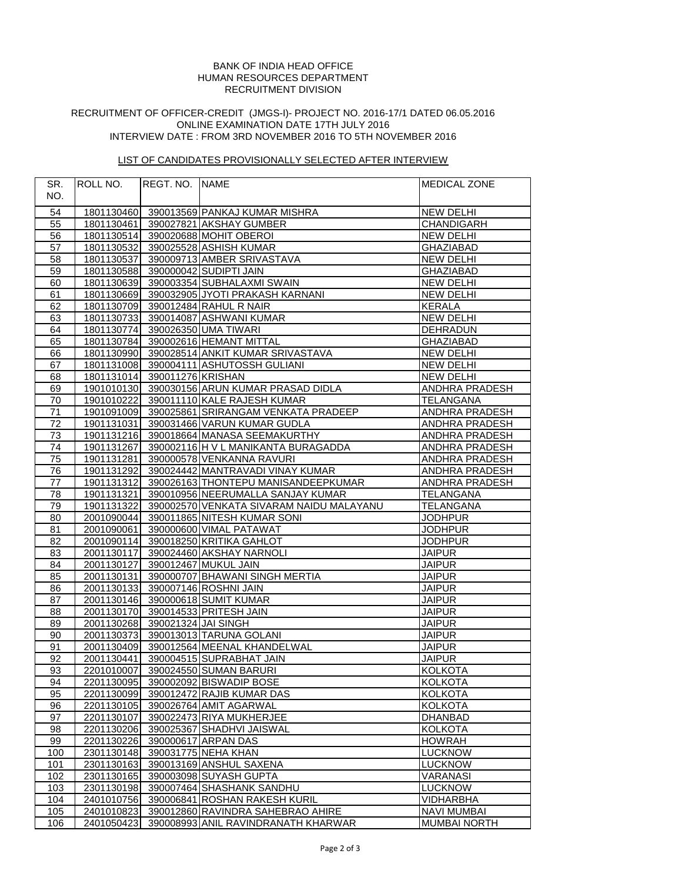## RECRUITMENT DIVISION HUMAN RESOURCES DEPARTMENT BANK OF INDIA HEAD OFFICE

## RECRUITMENT OF OFFICER-CREDIT (JMGS-I)- PROJECT NO. 2016-17/1 DATED 06.05.2016 INTERVIEW DATE : FROM 3RD NOVEMBER 2016 TO 5TH NOVEMBER 2016 ONLINE EXAMINATION DATE 17TH JULY 2016

# LIST OF CANDIDATES PROVISIONALLY SELECTED AFTER INTERVIEW

| SR. | ROLL NO.                       | REGT. NO. NAME |                                                         | <b>MEDICAL ZONE</b>   |
|-----|--------------------------------|----------------|---------------------------------------------------------|-----------------------|
| NO. |                                |                |                                                         |                       |
|     |                                |                |                                                         |                       |
| 54  |                                |                | 1801130460 390013569 PANKAJ KUMAR MISHRA                | <b>NEW DELHI</b>      |
| 55  |                                |                | 1801130461 390027821 AKSHAY GUMBER                      | <b>CHANDIGARH</b>     |
| 56  |                                |                | 1801130514 390020688 MOHIT OBEROI<br><b>NEW DELHI</b>   |                       |
| 57  |                                |                | 1801130532 390025528 ASHISH KUMAR                       | <b>GHAZIABAD</b>      |
| 58  | 1801130537                     |                | 390009713 AMBER SRIVASTAVA                              | <b>NEW DELHI</b>      |
| 59  |                                |                | 1801130588 390000042 SUDIPTI JAIN                       | <b>GHAZIABAD</b>      |
| 60  |                                |                | 1801130639 390003354 SUBHALAXMI SWAIN                   | <b>NEW DELHI</b>      |
| 61  |                                |                | 1801130669 390032905 JYOTI PRAKASH KARNANI              | <b>NEW DELHI</b>      |
| 62  |                                |                | 1801130709 390012484 RAHUL R NAIR                       | <b>KERALA</b>         |
| 63  |                                |                | 1801130733 390014087 ASHWANI KUMAR                      | <b>NEW DELHI</b>      |
| 64  |                                |                | 1801130774 390026350 UMA TIWARI                         | DEHRADUN              |
| 65  |                                |                | 1801130784 390002616 HEMANT MITTAL                      | <b>GHAZIABAD</b>      |
| 66  |                                |                | 1801130990 390028514 ANKIT KUMAR SRIVASTAVA             | <b>NEW DELHI</b>      |
| 67  |                                |                | 1801131008 390004111 ASHUTOSSH GULIANI                  | <b>NEW DELHI</b>      |
| 68  | 1801131014 390011276 KRISHAN   |                |                                                         | <b>NEW DELHI</b>      |
| 69  |                                |                | 1901010130 390030156 ARUN KUMAR PRASAD DIDLA            | ANDHRA PRADESH        |
| 70  | 1901010222                     |                | 390011110 KALE RAJESH KUMAR                             | <b>TELANGANA</b>      |
| 71  |                                |                | 1901091009 390025861 SRIRANGAM VENKATA PRADEEP          | ANDHRA PRADESH        |
| 72  |                                |                | 1901131031 390031466 VARUN KUMAR GUDLA                  | ANDHRA PRADESH        |
| 73  |                                |                | 1901131216 390018664 MANASA SEEMAKURTHY                 | ANDHRA PRADESH        |
| 74  | 1901131267                     |                | 390002116 H V L MANIKANTA BURAGADDA                     | <b>ANDHRA PRADESH</b> |
| 75  |                                |                | 1901131281 390000578 VENKANNA RAVURI                    | ANDHRA PRADESH        |
| 76  |                                |                | 1901131292 390024442 MANTRAVADI VINAY KUMAR             | ANDHRA PRADESH        |
| 77  |                                |                | 1901131312 390026163 THONTEPU MANISANDEEPKUMAR          | <b>ANDHRA PRADESH</b> |
| 78  |                                |                | 1901131321 390010956 NEERUMALLA SANJAY KUMAR            | <b>TELANGANA</b>      |
| 79  | 1901131322                     |                | 390002570 VENKATA SIVARAM NAIDU MALAYANU                | <b>TELANGANA</b>      |
| 80  |                                |                | 2001090044 390011865 NITESH KUMAR SONI                  | <b>JODHPUR</b>        |
| 81  | 2001090061                     |                | 390000600 VIMAL PATAWAT                                 | <b>JODHPUR</b>        |
| 82  |                                |                | 2001090114 390018250 KRITIKA GAHLOT                     | <b>JODHPUR</b>        |
| 83  | 2001130117                     |                | 390024460 AKSHAY NARNOLI                                | <b>JAIPUR</b>         |
| 84  |                                |                | 2001130127 390012467 MUKUL JAIN                         | <b>JAIPUR</b>         |
| 85  | 2001130131                     |                | 390000707 BHAWANI SINGH MERTIA                          | <b>JAIPUR</b>         |
| 86  |                                |                | 2001130133 390007146 ROSHNI JAIN                        | <b>JAIPUR</b>         |
| 87  |                                |                | 2001130146 390000618 SUMIT KUMAR                        | <b>JAIPUR</b>         |
| 88  |                                |                | 2001130170 390014533 PRITESH JAIN                       | <b>JAIPUR</b>         |
| 89  | 2001130268 390021324 JAI SINGH |                |                                                         | <b>JAIPUR</b>         |
| 90  |                                |                | 2001130373 390013013 TARUNA GOLANI                      | <b>JAIPUR</b>         |
| 91  |                                |                | 2001130409 390012564 MEENAL KHANDELWAL                  | <b>JAIPUR</b>         |
| 92  |                                |                | 2001130441 390004515 SUPRABHAT JAIN                     | <b>JAIPUR</b>         |
| 93  |                                |                | 2201010007 390024550 SUMAN BARURI                       | <b>KOLKOTA</b>        |
| 94  | 2201130095                     |                | 390002092 BISWADIP BOSE                                 | <b>KOLKOTA</b>        |
| 95  | 2201130099                     |                | 390012472 RAJIB KUMAR DAS                               | <b>KOLKOTA</b>        |
| 96  | 2201130105                     |                | 390026764 AMIT AGARWAL                                  | <b>KOLKOTA</b>        |
| 97  | 2201130107                     |                | 390022473 RIYA MUKHERJEE                                | <b>DHANBAD</b>        |
| 98  | 2201130206                     |                | 390025367 SHADHVI JAISWAL                               | <b>KOLKOTA</b>        |
| 99  | 2201130226                     |                | 390000617 ARPAN DAS                                     | <b>HOWRAH</b>         |
| 100 | 2301130148                     |                | 390031775 NEHA KHAN                                     | <b>LUCKNOW</b>        |
| 101 | 2301130163                     |                | 390013169 ANSHUL SAXENA                                 | <b>LUCKNOW</b>        |
| 102 | 2301130165                     |                | 390003098 SUYASH GUPTA                                  | <b>VARANASI</b>       |
| 103 | 2301130198                     |                | 390007464 SHASHANK SANDHU                               | <b>LUCKNOW</b>        |
| 104 | 2401010756                     |                | 390006841 ROSHAN RAKESH KURIL<br><b>VIDHARBHA</b>       |                       |
| 105 | 2401010823                     |                | 390012860 RAVINDRA SAHEBRAO AHIRE<br><b>NAVI MUMBAI</b> |                       |
| 106 | 2401050423                     |                | 390008993 ANIL RAVINDRANATH KHARWAR                     | <b>MUMBAI NORTH</b>   |